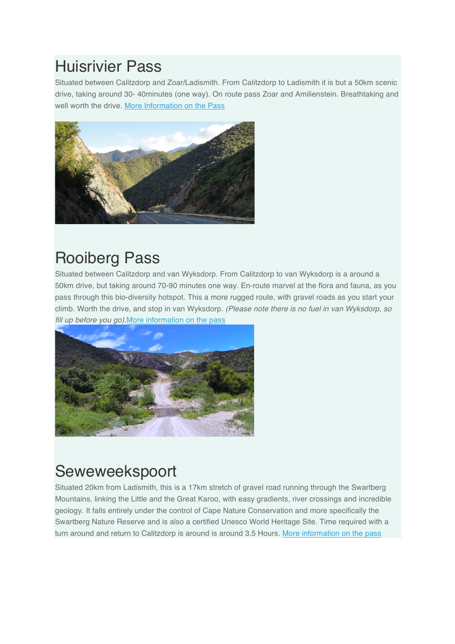#### Huisrivier Pass

Situated between Calitzdorp and Zoar/Ladismith. From Calitzdorp to Ladismith it is but a 50km scenic drive, taking around 30- 40minutes (one way). On route pass Zoar and Amilienstein. Breathtaking and well worth the drive. More Information on the Pass



# Rooiberg Pass

Situated between Calitzdorp and van Wyksdorp. From Calitzdorp to van Wyksdorp is a around a 50km drive, but taking around 70-90 minutes one way. En-route marvel at the flora and fauna, as you pass through this bio-diversity hotspot. This a more rugged route, with gravel roads as you start your climb. Worth the drive, and stop in van Wyksdorp. *(Please note there is no fuel in van Wyksdorp, so fill up before you go).*More information on the pass



# Seweweekspoort

Situated 20km from Ladismith, this is a 17km stretch of gravel road running through the Swartberg Mountains, linking the Little and the Great Karoo, with easy gradients, river crossings and incredible geology. It falls entirely under the control of Cape Nature Conservation and more specifically the Swartberg Nature Reserve and is also a certified Unesco World Heritage Site. Time required with a turn around and return to Calitzdorp is around is around 3.5 Hours. More information on the pass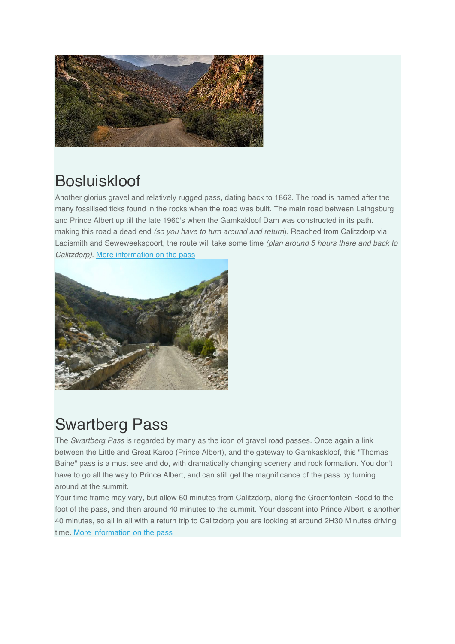

# **Bosluiskloof**

Another glorius gravel and relatively rugged pass, dating back to 1862. The road is named after the many fossilised ticks found in the rocks when the road was built. The main road between Laingsburg and Prince Albert up till the late 1960's when the Gamkakloof Dam was constructed in its path. making this road a dead end *(so you have to turn around and return*). Reached from Calitzdorp via Ladismith and Seweweekspoort, the route will take some time *(plan around 5 hours there and back to Calitzdorp)*. More information on the pass



# Swartberg Pass

The *Swartberg Pass* is regarded by many as the icon of gravel road passes. Once again a link between the Little and Great Karoo (Prince Albert), and the gateway to Gamkaskloof, this "Thomas Baine" pass is a must see and do, with dramatically changing scenery and rock formation. You don't have to go all the way to Prince Albert, and can still get the magnificance of the pass by turning around at the summit.

Your time frame may vary, but allow 60 minutes from Calitzdorp, along the Groenfontein Road to the foot of the pass, and then around 40 minutes to the summit. Your descent into Prince Albert is another 40 minutes, so all in all with a return trip to Calitzdorp you are looking at around 2H30 Minutes driving time. More information on the pass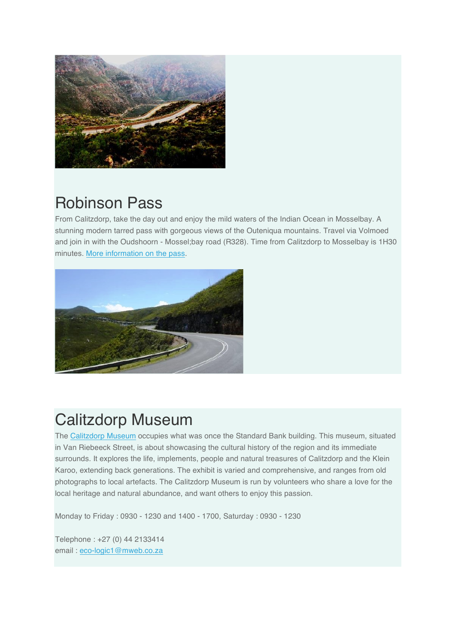

# Robinson Pass

From Calitzdorp, take the day out and enjoy the mild waters of the Indian Ocean in Mosselbay. A stunning modern tarred pass with gorgeous views of the Outeniqua mountains. Travel via Volmoed and join in with the Oudshoorn - Mossel;bay road (R328). Time from Calitzdorp to Mosselbay is 1H30 minutes. More information on the pass.



#### Calitzdorp Museum

The Calitzdorp Museum occupies what was once the Standard Bank building. This museum, situated in Van Riebeeck Street, is about showcasing the cultural history of the region and its immediate surrounds. It explores the life, implements, people and natural treasures of Calitzdorp and the Klein Karoo, extending back generations. The exhibit is varied and comprehensive, and ranges from old photographs to local artefacts. The Calitzdorp Museum is run by volunteers who share a love for the local heritage and natural abundance, and want others to enjoy this passion.

Monday to Friday : 0930 - 1230 and 1400 - 1700, Saturday : 0930 - 1230

Telephone : +27 (0) 44 2133414 email : eco-logic1@mweb.co.za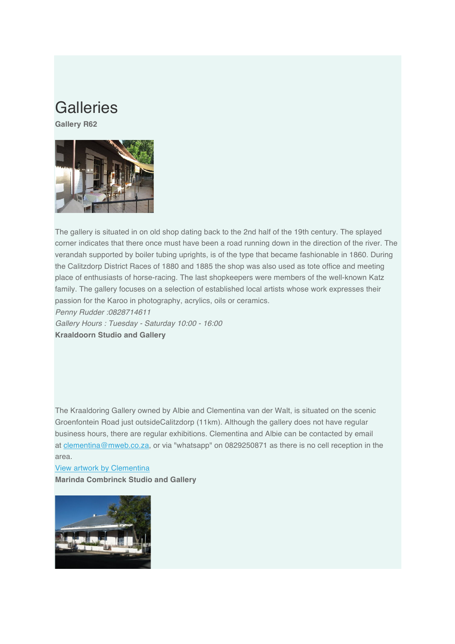#### **Galleries**

**Gallery R62**



The gallery is situated in on old shop dating back to the 2nd half of the 19th century. The splayed corner indicates that there once must have been a road running down in the direction of the river. The verandah supported by boiler tubing uprights, is of the type that became fashionable in 1860. During the Calitzdorp District Races of 1880 and 1885 the shop was also used as tote office and meeting place of enthusiasts of horse-racing. The last shopkeepers were members of the well-known Katz family. The gallery focuses on a selection of established local artists whose work expresses their passion for the Karoo in photography, acrylics, oils or ceramics.

*Penny Rudder :0828714611*

*Gallery Hours : Tuesday - Saturday 10:00 - 16:00* **Kraaldoorn Studio and Gallery**

The Kraaldoring Gallery owned by Albie and Clementina van der Walt, is situated on the scenic Groenfontein Road just outsideCalitzdorp (11km). Although the gallery does not have regular business hours, there are regular exhibitions. Clementina and Albie can be contacted by email at clementina@mweb.co.za, or via "whatsapp" on 0829250871 as there is no cell reception in the area.

View artwork by Clementina **Marinda Combrinck Studio and Gallery**

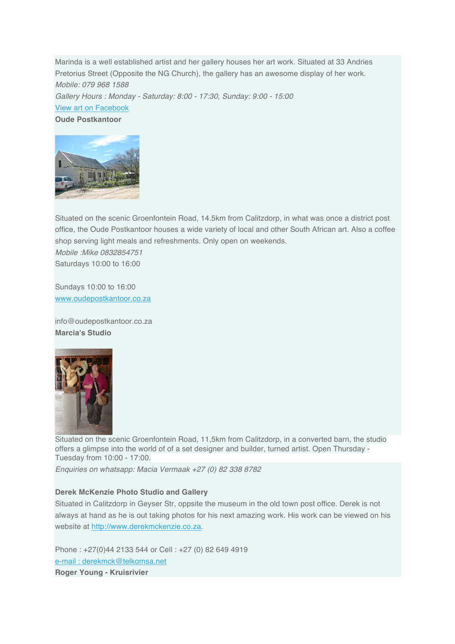Marinda is a well established artist and her gallery houses her art work. Situated at 33 Andries Pretorius Street (Opposite the NG Church), the gallery has an awesome display of her work. *Mobile: 079 968 1588 Gallery Hours : Monday - Saturday: 8:00 - 17:30, Sunday: 9:00 - 15:00* View art on Facebook **Oude Postkantoor**



Situated on the scenic Groenfontein Road, 14.5km from Calitzdorp, in what was once a district post office, the Oude Postkantoor houses a wide variety of local and other South African art. Also a coffee shop serving light meals and refreshments. Only open on weekends. *Mobile :Mike 0832854751*

Saturdays 10:00 to 16:00

Sundays 10:00 to 16:00 www.oudepostkantoor.co.za

info@oudepostkantoor.co.za **Marcia's Studio**



Situated on the scenic Groenfontein Road, 11,5km from Calitzdorp, in a converted barn, the studio offers a glimpse into the world of of a set designer and builder, turned artist. Open Thursday - Tuesday from 10:00 - 17:00.

*Enquiries on whatsapp: Macia Vermaak +27 (0) 82 338 8782*

#### **Derek McKenzie Photo Studio and Gallery**

Situated in Calitzdorp in Geyser Str, oppsite the museum in the old town post office. Derek is not always at hand as he is out taking photos for his next amazing work. His work can be viewed on his website at http://www.derekmckenzie.co.za.

Phone : +27(0)44 2133 544 or Cell : +27 (0) 82 649 4919 e-mail : derekmck@telkomsa.net **Roger Young - Kruisrivier**